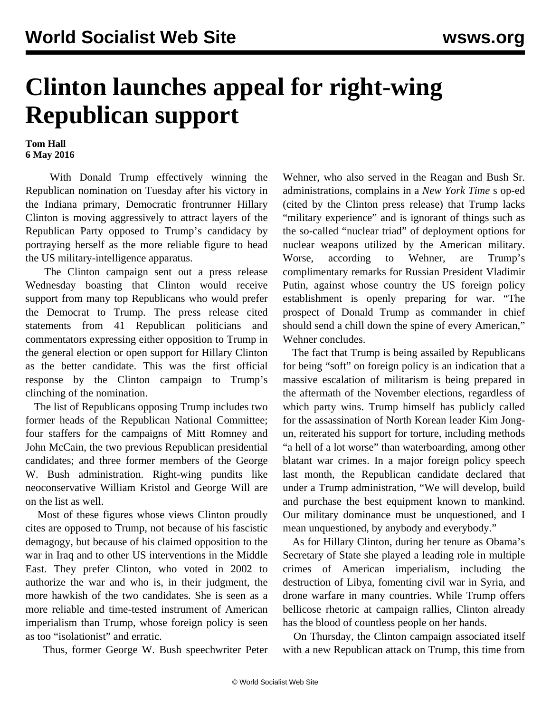## **Clinton launches appeal for right-wing Republican support**

**Tom Hall 6 May 2016**

 With Donald Trump effectively winning the Republican nomination on Tuesday after his victory in the Indiana primary, Democratic frontrunner Hillary Clinton is moving aggressively to attract layers of the Republican Party opposed to Trump's candidacy by portraying herself as the more reliable figure to head the US military-intelligence apparatus.

 The Clinton campaign sent out a press release Wednesday boasting that Clinton would receive support from many top Republicans who would prefer the Democrat to Trump. The press release cited statements from 41 Republican politicians and commentators expressing either opposition to Trump in the general election or open support for Hillary Clinton as the better candidate. This was the first official response by the Clinton campaign to Trump's clinching of the nomination.

 The list of Republicans opposing Trump includes two former heads of the Republican National Committee; four staffers for the campaigns of Mitt Romney and John McCain, the two previous Republican presidential candidates; and three former members of the George W. Bush administration. Right-wing pundits like neoconservative William Kristol and George Will are on the list as well.

 Most of these figures whose views Clinton proudly cites are opposed to Trump, not because of his fascistic demagogy, but because of his claimed opposition to the war in Iraq and to other US interventions in the Middle East. They prefer Clinton, who voted in 2002 to authorize the war and who is, in their judgment, the more hawkish of the two candidates. She is seen as a more reliable and time-tested instrument of American imperialism than Trump, whose foreign policy is seen as too "isolationist" and erratic.

Thus, former George W. Bush speechwriter Peter

Wehner, who also served in the Reagan and Bush Sr. administrations, complains in a *New York Time* s op-ed (cited by the Clinton press release) that Trump lacks "military experience" and is ignorant of things such as the so-called "nuclear triad" of deployment options for nuclear weapons utilized by the American military. Worse, according to Wehner, are Trump's complimentary remarks for Russian President Vladimir Putin, against whose country the US foreign policy establishment is openly preparing for war. "The prospect of Donald Trump as commander in chief should send a chill down the spine of every American," Wehner concludes.

 The fact that Trump is being assailed by Republicans for being "soft" on foreign policy is an indication that a massive escalation of militarism is being prepared in the aftermath of the November elections, regardless of which party wins. Trump himself has publicly called for the assassination of North Korean leader Kim Jongun, reiterated his support for torture, including methods "a hell of a lot worse" than waterboarding, among other blatant war crimes. In a major foreign policy speech last month, the Republican candidate declared that under a Trump administration, "We will develop, build and purchase the best equipment known to mankind. Our military dominance must be unquestioned, and I mean unquestioned, by anybody and everybody."

 As for Hillary Clinton, during her tenure as Obama's Secretary of State she played a leading role in multiple crimes of American imperialism, including the destruction of Libya, fomenting civil war in Syria, and drone warfare in many countries. While Trump offers bellicose rhetoric at campaign rallies, Clinton already has the blood of countless people on her hands.

 On Thursday, the Clinton campaign associated itself with a new Republican attack on Trump, this time from